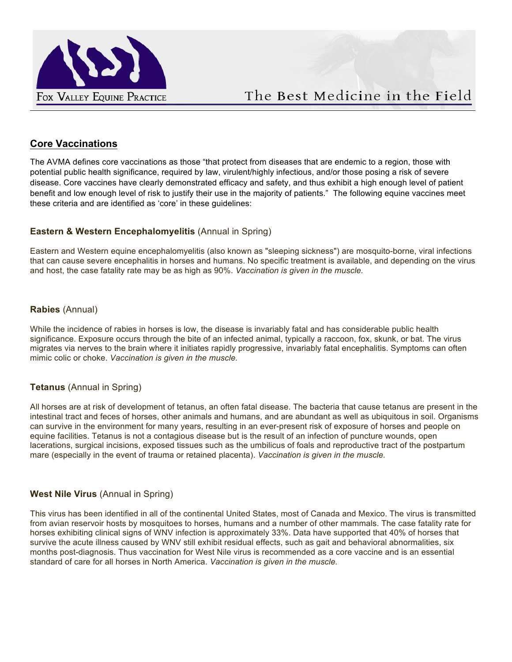

## **Core Vaccinations**

The AVMA defines core vaccinations as those "that protect from diseases that are endemic to a region, those with potential public health significance, required by law, virulent/highly infectious, and/or those posing a risk of severe disease. Core vaccines have clearly demonstrated efficacy and safety, and thus exhibit a high enough level of patient benefit and low enough level of risk to justify their use in the majority of patients." The following equine vaccines meet these criteria and are identified as 'core' in these guidelines:

## **Eastern & Western Encephalomyelitis (Annual in Spring)**

Eastern and Western equine encephalomyelitis (also known as "sleeping sickness") are mosquito-borne, viral infections that can cause severe encephalitis in horses and humans. No specific treatment is available, and depending on the virus and host, the case fatality rate may be as high as 90%. *Vaccination is given in the muscle.*

#### **Rabies** (Annual)

While the incidence of rabies in horses is low, the disease is invariably fatal and has considerable public health significance. Exposure occurs through the bite of an infected animal, typically a raccoon, fox, skunk, or bat. The virus migrates via nerves to the brain where it initiates rapidly progressive, invariably fatal encephalitis. Symptoms can often mimic colic or choke. *Vaccination is given in the muscle.*

#### **Tetanus** (Annual in Spring)

All horses are at risk of development of tetanus, an often fatal disease. The bacteria that cause tetanus are present in the intestinal tract and feces of horses, other animals and humans, and are abundant as well as ubiquitous in soil. Organisms can survive in the environment for many years, resulting in an ever-present risk of exposure of horses and people on equine facilities. Tetanus is not a contagious disease but is the result of an infection of puncture wounds, open lacerations, surgical incisions, exposed tissues such as the umbilicus of foals and reproductive tract of the postpartum mare (especially in the event of trauma or retained placenta). *Vaccination is given in the muscle.*

#### **West Nile Virus** (Annual in Spring)

This virus has been identified in all of the continental United States, most of Canada and Mexico. The virus is transmitted from avian reservoir hosts by mosquitoes to horses, humans and a number of other mammals. The case fatality rate for horses exhibiting clinical signs of WNV infection is approximately 33%. Data have supported that 40% of horses that survive the acute illness caused by WNV still exhibit residual effects, such as gait and behavioral abnormalities, six months post-diagnosis. Thus vaccination for West Nile virus is recommended as a core vaccine and is an essential standard of care for all horses in North America. *Vaccination is given in the muscle.*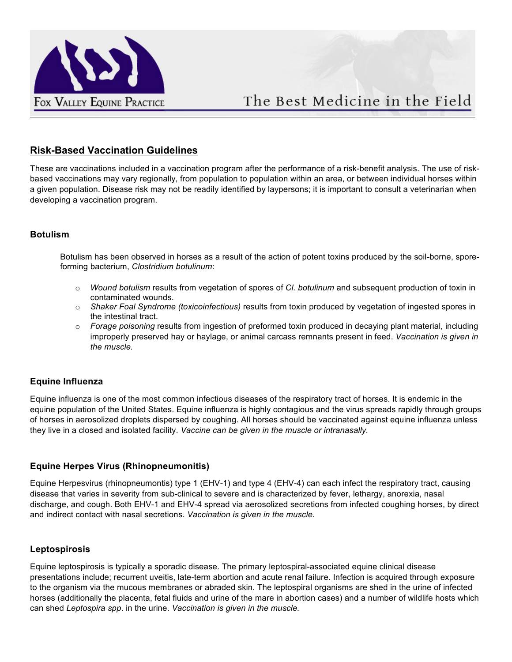

# The Best Medicine in the Field

## **Risk-Based Vaccination Guidelines**

These are vaccinations included in a vaccination program after the performance of a risk-benefit analysis. The use of riskbased vaccinations may vary regionally, from population to population within an area, or between individual horses within a given population. Disease risk may not be readily identified by laypersons; it is important to consult a veterinarian when developing a vaccination program.

#### **Botulism**

Botulism has been observed in horses as a result of the action of potent toxins produced by the soil-borne, sporeforming bacterium, *Clostridium botulinum*:

- o *Wound botulism* results from vegetation of spores of *Cl. botulinum* and subsequent production of toxin in contaminated wounds.
- o *Shaker Foal Syndrome (toxicoinfectious)* results from toxin produced by vegetation of ingested spores in the intestinal tract.
- o *Forage poisoning* results from ingestion of preformed toxin produced in decaying plant material, including improperly preserved hay or haylage, or animal carcass remnants present in feed. *Vaccination is given in the muscle.*

#### **Equine Influenza**

Equine influenza is one of the most common infectious diseases of the respiratory tract of horses. It is endemic in the equine population of the United States. Equine influenza is highly contagious and the virus spreads rapidly through groups of horses in aerosolized droplets dispersed by coughing. All horses should be vaccinated against equine influenza unless they live in a closed and isolated facility. *Vaccine can be given in the muscle or intranasally.*

#### **Equine Herpes Virus (Rhinopneumonitis)**

Equine Herpesvirus (rhinopneumontis) type 1 (EHV-1) and type 4 (EHV-4) can each infect the respiratory tract, causing disease that varies in severity from sub-clinical to severe and is characterized by fever, lethargy, anorexia, nasal discharge, and cough. Both EHV-1 and EHV-4 spread via aerosolized secretions from infected coughing horses, by direct and indirect contact with nasal secretions. *Vaccination is given in the muscle.*

#### **Leptospirosis**

Equine leptospirosis is typically a sporadic disease. The primary leptospiral-associated equine clinical disease presentations include; recurrent uveitis, late-term abortion and acute renal failure. Infection is acquired through exposure to the organism via the mucous membranes or abraded skin. The leptospiral organisms are shed in the urine of infected horses (additionally the placenta, fetal fluids and urine of the mare in abortion cases) and a number of wildlife hosts which can shed *Leptospira spp*. in the urine. *Vaccination is given in the muscle.*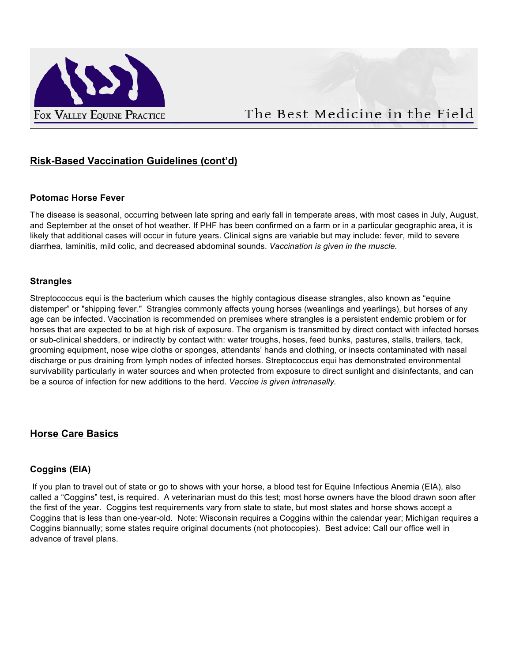

## **Risk-Based Vaccination Guidelines (cont'd)**

#### **Potomac Horse Fever**

The disease is seasonal, occurring between late spring and early fall in temperate areas, with most cases in July, August, and September at the onset of hot weather. If PHF has been confirmed on a farm or in a particular geographic area, it is likely that additional cases will occur in future years. Clinical signs are variable but may include: fever, mild to severe diarrhea, laminitis, mild colic, and decreased abdominal sounds. *Vaccination is given in the muscle.*

#### **Strangles**

Streptococcus equi is the bacterium which causes the highly contagious disease strangles, also known as "equine distemper" or "shipping fever." Strangles commonly affects young horses (weanlings and yearlings), but horses of any age can be infected. Vaccination is recommended on premises where strangles is a persistent endemic problem or for horses that are expected to be at high risk of exposure. The organism is transmitted by direct contact with infected horses or sub-clinical shedders, or indirectly by contact with: water troughs, hoses, feed bunks, pastures, stalls, trailers, tack, grooming equipment, nose wipe cloths or sponges, attendants' hands and clothing, or insects contaminated with nasal discharge or pus draining from lymph nodes of infected horses. Streptococcus equi has demonstrated environmental survivability particularly in water sources and when protected from exposure to direct sunlight and disinfectants, and can be a source of infection for new additions to the herd. *Vaccine is given intranasally.*

## **Horse Care Basics**

#### **Coggins (EIA)**

If you plan to travel out of state or go to shows with your horse, a blood test for Equine Infectious Anemia (EIA), also called a "Coggins" test, is required. A veterinarian must do this test; most horse owners have the blood drawn soon after the first of the year. Coggins test requirements vary from state to state, but most states and horse shows accept a Coggins that is less than one-year-old. Note: Wisconsin requires a Coggins within the calendar year; Michigan requires a Coggins biannually; some states require original documents (not photocopies). Best advice: Call our office well in advance of travel plans.